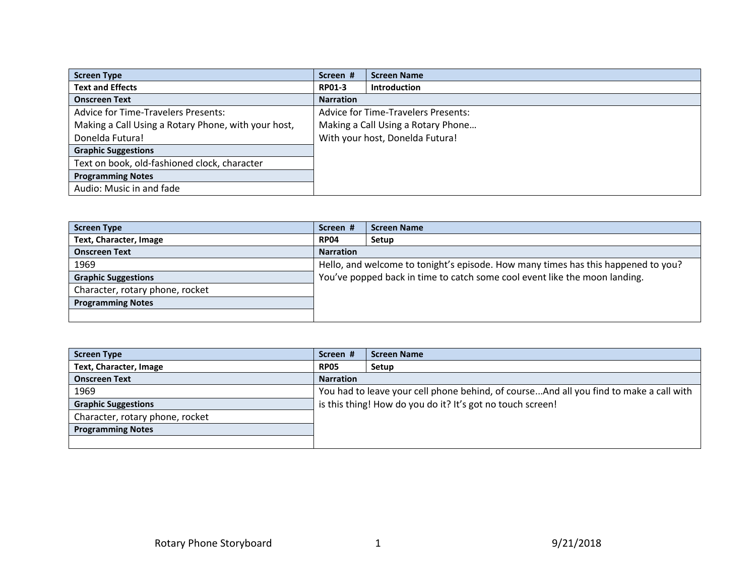| <b>Screen Type</b>                                  | Screen #         | <b>Screen Name</b>                         |
|-----------------------------------------------------|------------------|--------------------------------------------|
| <b>Text and Effects</b>                             | <b>RP01-3</b>    | <b>Introduction</b>                        |
| <b>Onscreen Text</b>                                | <b>Narration</b> |                                            |
| <b>Advice for Time-Travelers Presents:</b>          |                  | <b>Advice for Time-Travelers Presents:</b> |
| Making a Call Using a Rotary Phone, with your host, |                  | Making a Call Using a Rotary Phone         |
| Donelda Futura!                                     |                  | With your host, Donelda Futura!            |
| <b>Graphic Suggestions</b>                          |                  |                                            |
| Text on book, old-fashioned clock, character        |                  |                                            |
| <b>Programming Notes</b>                            |                  |                                            |
| Audio: Music in and fade                            |                  |                                            |

| <b>Screen Type</b>              | Screen #                                                                          | <b>Screen Name</b> |
|---------------------------------|-----------------------------------------------------------------------------------|--------------------|
| Text, Character, Image          | <b>RP04</b>                                                                       | Setup              |
| <b>Onscreen Text</b>            | <b>Narration</b>                                                                  |                    |
| 1969                            | Hello, and welcome to tonight's episode. How many times has this happened to you? |                    |
| <b>Graphic Suggestions</b>      | You've popped back in time to catch some cool event like the moon landing.        |                    |
| Character, rotary phone, rocket |                                                                                   |                    |
| <b>Programming Notes</b>        |                                                                                   |                    |
|                                 |                                                                                   |                    |

| <b>Screen Type</b>              | Screen #         | <b>Screen Name</b>                                                                     |
|---------------------------------|------------------|----------------------------------------------------------------------------------------|
| Text, Character, Image          | <b>RP05</b>      | Setup                                                                                  |
| <b>Onscreen Text</b>            | <b>Narration</b> |                                                                                        |
| 1969                            |                  | You had to leave your cell phone behind, of courseAnd all you find to make a call with |
| <b>Graphic Suggestions</b>      |                  | is this thing! How do you do it? It's got no touch screen!                             |
| Character, rotary phone, rocket |                  |                                                                                        |
| <b>Programming Notes</b>        |                  |                                                                                        |
|                                 |                  |                                                                                        |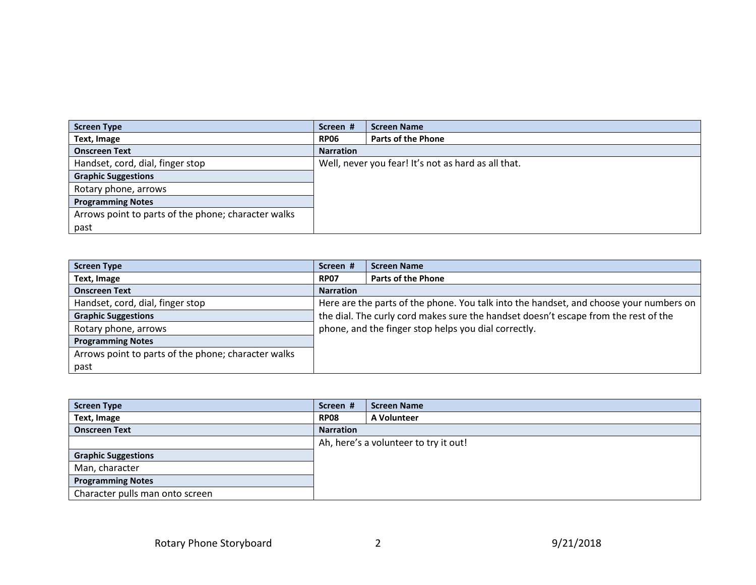| <b>Screen Type</b>                                  | Screen #         | <b>Screen Name</b>                                  |
|-----------------------------------------------------|------------------|-----------------------------------------------------|
| Text, Image                                         | <b>RP06</b>      | <b>Parts of the Phone</b>                           |
| <b>Onscreen Text</b>                                | <b>Narration</b> |                                                     |
| Handset, cord, dial, finger stop                    |                  | Well, never you fear! It's not as hard as all that. |
| <b>Graphic Suggestions</b>                          |                  |                                                     |
| Rotary phone, arrows                                |                  |                                                     |
| <b>Programming Notes</b>                            |                  |                                                     |
| Arrows point to parts of the phone; character walks |                  |                                                     |
| past                                                |                  |                                                     |

| <b>Screen Type</b>                                  | Screen #         | <b>Screen Name</b>                                                                     |
|-----------------------------------------------------|------------------|----------------------------------------------------------------------------------------|
| Text, Image                                         | <b>RP07</b>      | <b>Parts of the Phone</b>                                                              |
| <b>Onscreen Text</b>                                | <b>Narration</b> |                                                                                        |
| Handset, cord, dial, finger stop                    |                  | Here are the parts of the phone. You talk into the handset, and choose your numbers on |
| <b>Graphic Suggestions</b>                          |                  | the dial. The curly cord makes sure the handset doesn't escape from the rest of the    |
| Rotary phone, arrows                                |                  | phone, and the finger stop helps you dial correctly.                                   |
| <b>Programming Notes</b>                            |                  |                                                                                        |
| Arrows point to parts of the phone; character walks |                  |                                                                                        |
| past                                                |                  |                                                                                        |

| <b>Screen Type</b>              | Screen #         | <b>Screen Name</b>                    |
|---------------------------------|------------------|---------------------------------------|
| Text, Image                     | <b>RP08</b>      | A Volunteer                           |
| <b>Onscreen Text</b>            | <b>Narration</b> |                                       |
|                                 |                  | Ah, here's a volunteer to try it out! |
| <b>Graphic Suggestions</b>      |                  |                                       |
| Man, character                  |                  |                                       |
| <b>Programming Notes</b>        |                  |                                       |
| Character pulls man onto screen |                  |                                       |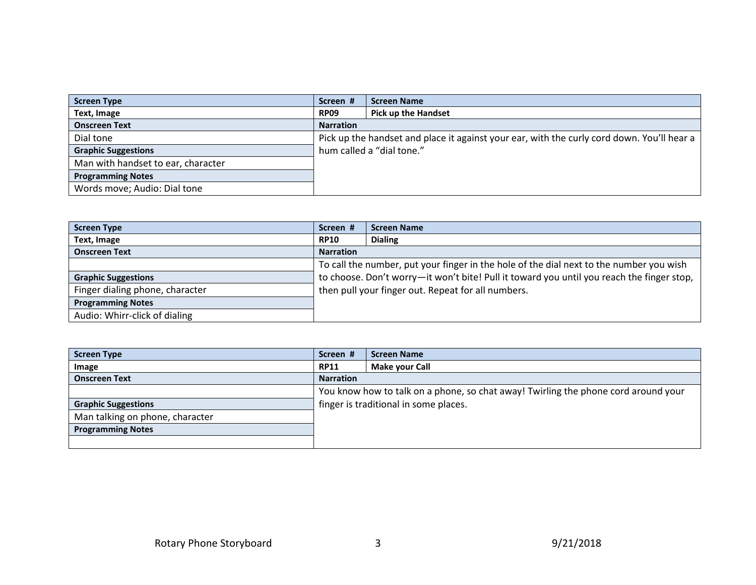| <b>Screen Type</b>                 | Screen #         | <b>Screen Name</b>                                                                         |
|------------------------------------|------------------|--------------------------------------------------------------------------------------------|
| Text, Image                        | <b>RP09</b>      | <b>Pick up the Handset</b>                                                                 |
| <b>Onscreen Text</b>               | <b>Narration</b> |                                                                                            |
| Dial tone                          |                  | Pick up the handset and place it against your ear, with the curly cord down. You'll hear a |
| <b>Graphic Suggestions</b>         |                  | hum called a "dial tone."                                                                  |
| Man with handset to ear, character |                  |                                                                                            |
| <b>Programming Notes</b>           |                  |                                                                                            |
| Words move; Audio: Dial tone       |                  |                                                                                            |

| <b>Screen Type</b>              | Screen #                                                                                  | <b>Screen Name</b>                                                                      |
|---------------------------------|-------------------------------------------------------------------------------------------|-----------------------------------------------------------------------------------------|
| Text, Image                     | <b>RP10</b>                                                                               | <b>Dialing</b>                                                                          |
| <b>Onscreen Text</b>            | <b>Narration</b>                                                                          |                                                                                         |
|                                 |                                                                                           | To call the number, put your finger in the hole of the dial next to the number you wish |
| <b>Graphic Suggestions</b>      | to choose. Don't worry-it won't bite! Pull it toward you until you reach the finger stop, |                                                                                         |
| Finger dialing phone, character |                                                                                           | then pull your finger out. Repeat for all numbers.                                      |
| <b>Programming Notes</b>        |                                                                                           |                                                                                         |
| Audio: Whirr-click of dialing   |                                                                                           |                                                                                         |

| <b>Screen Type</b>              | Screen #                              | <b>Screen Name</b>                                                                 |
|---------------------------------|---------------------------------------|------------------------------------------------------------------------------------|
| Image                           | <b>RP11</b>                           | Make your Call                                                                     |
| <b>Onscreen Text</b>            | <b>Narration</b>                      |                                                                                    |
|                                 |                                       | You know how to talk on a phone, so chat away! Twirling the phone cord around your |
| <b>Graphic Suggestions</b>      | finger is traditional in some places. |                                                                                    |
| Man talking on phone, character |                                       |                                                                                    |
| <b>Programming Notes</b>        |                                       |                                                                                    |
|                                 |                                       |                                                                                    |